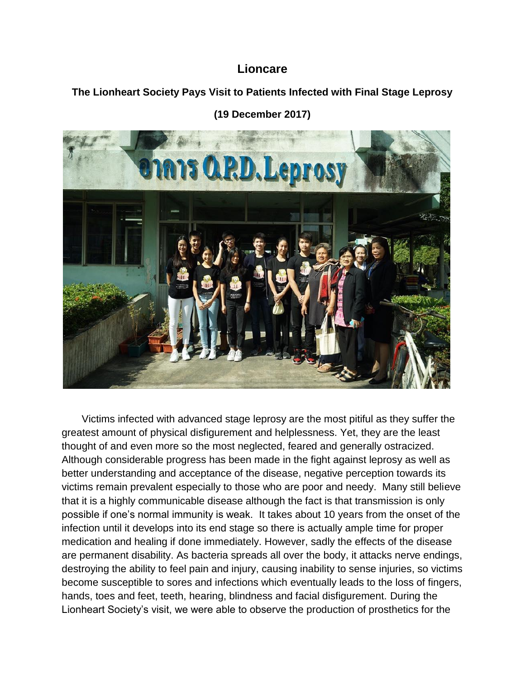## **Lioncare**

## **The Lionheart Society Pays Visit to Patients Infected with Final Stage Leprosy**



## **(19 December 2017)**

 Victims infected with advanced stage leprosy are the most pitiful as they suffer the greatest amount of physical disfigurement and helplessness. Yet, they are the least thought of and even more so the most neglected, feared and generally ostracized. Although considerable progress has been made in the fight against leprosy as well as better understanding and acceptance of the disease, negative perception towards its victims remain prevalent especially to those who are poor and needy. Many still believe that it is a highly communicable disease although the fact is that transmission is only possible if one's normal immunity is weak. It takes about 10 years from the onset of the infection until it develops into its end stage so there is actually ample time for proper medication and healing if done immediately. However, sadly the effects of the disease are permanent disability. As bacteria spreads all over the body, it attacks nerve endings, destroying the ability to feel pain and injury, causing inability to sense injuries, so victims become susceptible to sores and infections which eventually leads to the loss of fingers, hands, toes and feet, teeth, hearing, blindness and facial disfigurement. During the Lionheart Society's visit, we were able to observe the production of prosthetics for the